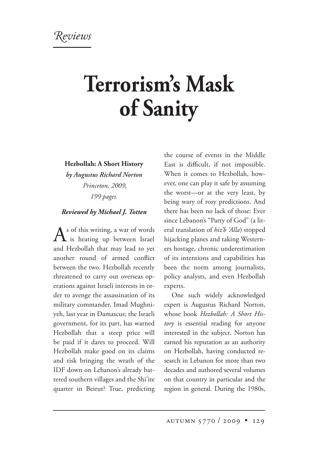## **Terrorism's Mask of Sanity**

**Hezbollah: A Short History**

*by Augustus Richard Norton Princeton, 2009, 199 pages.*

## *Reviewed by Michael J. Totten*

 $A<sup>s</sup>$  of this writing, a war of words<br>is heating up between Israel and Hezbollah that may lead to yet another round of armed conflict between the two. Hezbollah recently threatened to carry out overseas operations against Israeli interests in order to avenge the assassination of its military commander, Imad Mughniyeh, last year in Damascus; the Israeli government, for its part, has warned Hezbollah that a steep price will be paid if it dares to proceed. Will Hezbollah make good on its claims and risk bringing the wrath of the IDF down on Lebanon's already battered southern villages and the Shi'ite quarter in Beirut? True, predicting

the course of events in the Middle East is difficult, if not impossible. When it comes to Hezbollah, however, one can play it safe by assuming the worst—or at the very least, by being wary of rosy predictions. And there has been no lack of those: Ever since Lebanon's "Party of God" (a literal translation of *hiz'b 'Alla*) stopped hijacking planes and taking Westerners hostage, chronic underestimation of its intentions and capabilities has been the norm among journalists, policy analysts, and even Hezbollah experts.

One such widely acknowledged expert is Augustus Richard Norton, whose book *Hezbollah: A Short History* is essential reading for anyone interested in the subject. Norton has earned his reputation as an authority on Hezbollah, having conducted research in Lebanon for more than two decades and authored several volumes on that country in particular and the region in general. During the 1980s,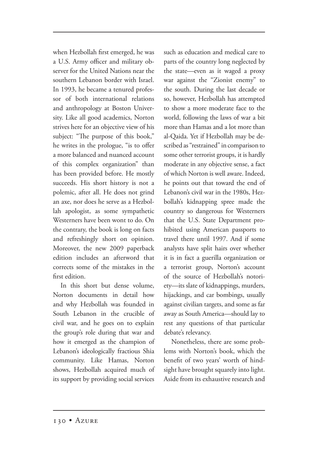when Hezbollah first emerged, he was a U.S. Army officer and military observer for the United Nations near the southern Lebanon border with Israel. In 1993, he became a tenured professor of both international relations and anthropology at Boston University. Like all good academics, Norton strives here for an objective view of his subject: "The purpose of this book," he writes in the prologue, "is to offer a more balanced and nuanced account of this complex organization" than has been provided before. He mostly succeeds. His short history is not a polemic, after all. He does not grind an axe, nor does he serve as a Hezbollah apologist, as some sympathetic Westerners have been wont to do. On the contrary, the book is long on facts and refreshingly short on opinion. Moreover, the new 2009 paperback edition includes an afterword that corrects some of the mistakes in the first edition.

In this short but dense volume, Norton documents in detail how and why Hezbollah was founded in South Lebanon in the crucible of civil war, and he goes on to explain the group's role during that war and how it emerged as the champion of Lebanon's ideologically fractious Shia community. Like Hamas, Norton shows, Hezbollah acquired much of its support by providing social services

such as education and medical care to parts of the country long neglected by the state—even as it waged a proxy war against the "Zionist enemy" to the south. During the last decade or so, however, Hezbollah has attempted to show a more moderate face to the world, following the laws of war a bit more than Hamas and a lot more than al-Qaida. Yet if Hezbollah may be described as "restrained" in comparison to some other terrorist groups, it is hardly moderate in any objective sense, a fact of which Norton is well aware. Indeed, he points out that toward the end of Lebanon's civil war in the 1980s, Hezbollah's kidnapping spree made the country so dangerous for Westerners that the U.S. State Department prohibited using American passports to travel there until 1997. And if some analysts have split hairs over whether it is in fact a guerilla organization or a terrorist group, Norton's account of the source of Hezbollah's notoriety—its slate of kidnappings, murders, hijackings, and car bombings, usually against civilian targets, and some as far away as South America—should lay to rest any questions of that particular debate's relevancy.

Nonetheless, there are some problems with Norton's book, which the benefit of two years' worth of hindsight have brought squarely into light. Aside from its exhaustive research and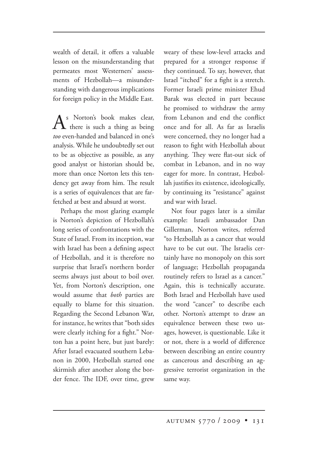wealth of detail, it offers a valuable lesson on the misunderstanding that permeates most Westerners' assessments of Hezbollah—a misunderstanding with dangerous implications for foreign policy in the Middle East.

s Norton's book makes clear, there is such a thing as being *too* even-handed and balanced in one's analysis. While he undoubtedly set out to be as objective as possible, as any good analyst or historian should be, more than once Norton lets this tendency get away from him. The result is a series of equivalences that are farfetched at best and absurd at worst.

Perhaps the most glaring example is Norton's depiction of Hezbollah's long series of confrontations with the State of Israel. From its inception, war with Israel has been a defining aspect of Hezbollah, and it is therefore no surprise that Israel's northern border seems always just about to boil over. Yet, from Norton's description, one would assume that *both* parties are equally to blame for this situation. Regarding the Second Lebanon War, for instance, he writes that "both sides were clearly itching for a fight." Norton has a point here, but just barely: After Israel evacuated southern Lebanon in 2000, Hezbollah started one skirmish after another along the border fence. The IDF, over time, grew weary of these low-level attacks and prepared for a stronger response if they continued. To say, however, that Israel "itched" for a fight is a stretch. Former Israeli prime minister Ehud Barak was elected in part because he promised to withdraw the army from Lebanon and end the conflict once and for all. As far as Israelis were concerned, they no longer had a reason to fight with Hezbollah about anything. They were flat-out sick of combat in Lebanon, and in no way eager for more. In contrast, Hezbollah justifies its existence, ideologically, by continuing its "resistance" against and war with Israel.

Not four pages later is a similar example: Israeli ambassador Dan Gillerman, Norton writes, referred "to Hezbollah as a cancer that would have to be cut out. The Israelis certainly have no monopoly on this sort of language; Hezbollah propaganda routinely refers to Israel as a cancer." Again, this is technically accurate. Both Israel and Hezbollah have used the word "cancer" to describe each other. Norton's attempt to draw an equivalence between these two usages, however, is questionable. Like it or not, there is a world of difference between describing an entire country as cancerous and describing an aggressive terrorist organization in the same way.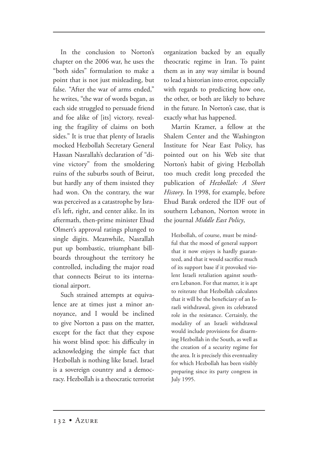In the conclusion to Norton's chapter on the 2006 war, he uses the "both sides" formulation to make a point that is not just misleading, but false. "After the war of arms ended," he writes, "the war of words began, as each side struggled to persuade friend and foe alike of [its] victory, revealing the fragility of claims on both sides." It is true that plenty of Israelis mocked Hezbollah Secretary General Hassan Nasrallah's declaration of "divine victory" from the smoldering ruins of the suburbs south of Beirut, but hardly any of them insisted they had won. On the contrary, the war was perceived as a catastrophe by Israel's left, right, and center alike. In its aftermath, then-prime minister Ehud Olmert's approval ratings plunged to single digits. Meanwhile, Nasrallah put up bombastic, triumphant billboards throughout the territory he controlled, including the major road that connects Beirut to its international airport.

Such strained attempts at equivalence are at times just a minor annoyance, and I would be inclined to give Norton a pass on the matter, except for the fact that they expose his worst blind spot: his difficulty in acknowledging the simple fact that Hezbollah is nothing like Israel. Israel is a sovereign country and a democracy. Hezbollah is a theocratic terrorist organization backed by an equally theocratic regime in Iran. To paint them as in any way similar is bound to lead a historian into error, especially with regards to predicting how one, the other, or both are likely to behave in the future. In Norton's case, that is exactly what has happened.

Martin Kramer, a fellow at the Shalem Center and the Washington Institute for Near East Policy, has pointed out on his Web site that Norton's habit of giving Hezbollah too much credit long preceded the publication of *Hezbollah: A Short History*. In 1998, for example, before Ehud Barak ordered the IDF out of southern Lebanon, Norton wrote in the journal *Middle East Policy*,

Hezbollah, of course, must be mindful that the mood of general support that it now enjoys is hardly guaranteed, and that it would sacrifice much of its support base if it provoked violent Israeli retaliation against southern Lebanon. For that matter, it is apt to reiterate that Hezbollah calculates that it will be the beneficiary of an Israeli withdrawal, given its celebrated role in the resistance. Certainly, the modality of an Israeli withdrawal would include provisions for disarming Hezbollah in the South, as well as the creation of a security regime for the area. It is precisely this eventuality for which Hezbollah has been visibly preparing since its party congress in July 1995.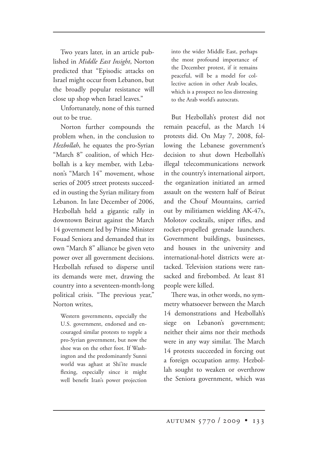Two years later, in an article published in *Middle East Insight*, Norton predicted that "Episodic attacks on Israel might occur from Lebanon, but the broadly popular resistance will close up shop when Israel leaves."

Unfortunately, none of this turned out to be true.

Norton further compounds the problem when, in the conclusion to *Hezbollah*, he equates the pro-Syrian "March 8" coalition, of which Hezbollah is a key member, with Lebanon's "March 14" movement, whose series of 2005 street protests succeeded in ousting the Syrian military from Lebanon. In late December of 2006, Hezbollah held a gigantic rally in downtown Beirut against the March 14 government led by Prime Minister Fouad Seniora and demanded that its own "March 8" alliance be given veto power over all government decisions. Hezbollah refused to disperse until its demands were met, drawing the country into a seventeen-month-long political crisis. "The previous year," Norton writes,

Western governments, especially the U.S. government, endorsed and encouraged similar protests to topple a pro-Syrian government, but now the shoe was on the other foot. If Washington and the predominantly Sunni world was aghast at Shi'ite muscle flexing, especially since it might well benefit Iran's power projection

into the wider Middle East, perhaps the most profound importance of the December protest, if it remains peaceful, will be a model for collective action in other Arab locales, which is a prospect no less distressing to the Arab world's autocrats.

But Hezbollah's protest did not remain peaceful, as the March 14 protests did. On May 7, 2008, following the Lebanese government's decision to shut down Hezbollah's illegal telecommunications network in the country's international airport, the organization initiated an armed assault on the western half of Beirut and the Chouf Mountains, carried out by militiamen wielding AK-47s, Molotov cocktails, sniper rifles, and rocket-propelled grenade launchers. Government buildings, businesses, and houses in the university and international-hotel districts were attacked. Television stations were ransacked and firebombed. At least 81 people were killed.

There was, in other words, no symmetry whatsoever between the March 14 demonstrations and Hezbollah's siege on Lebanon's government; neither their aims nor their methods were in any way similar. The March 14 protests succeeded in forcing out a foreign occupation army. Hezbollah sought to weaken or overthrow the Seniora government, which was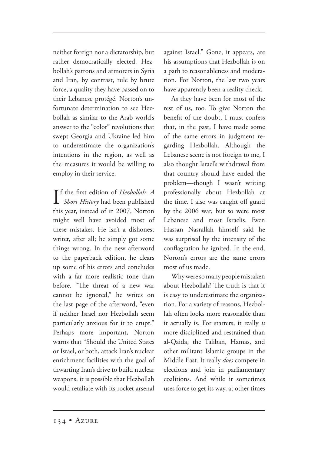neither foreign nor a dictatorship, but rather democratically elected. Hezbollah's patrons and armorers in Syria and Iran, by contrast, rule by brute force, a quality they have passed on to their Lebanese protégé. Norton's unfortunate determination to see Hezbollah as similar to the Arab world's answer to the "color" revolutions that swept Georgia and Ukraine led him to underestimate the organization's intentions in the region, as well as the measures it would be willing to employ in their service.

**I**f the first edition of *Hezbollah: A*<br>*Short History* had been published f the first edition of *Hezbollah: A* this year, instead of in 2007, Norton might well have avoided most of these mistakes. He isn't a dishonest writer, after all; he simply got some things wrong. In the new afterword to the paperback edition, he clears up some of his errors and concludes with a far more realistic tone than before. "The threat of a new war cannot be ignored," he writes on the last page of the afterword, "even if neither Israel nor Hezbollah seem particularly anxious for it to erupt." Perhaps more important, Norton warns that "Should the United States or Israel, or both, attack Iran's nuclear enrichment facilities with the goal of thwarting Iran's drive to build nuclear weapons, it is possible that Hezbollah would retaliate with its rocket arsenal

against Israel." Gone, it appears, are his assumptions that Hezbollah is on a path to reasonableness and moderation. For Norton, the last two years have apparently been a reality check.

As they have been for most of the rest of us, too. To give Norton the benefit of the doubt, I must confess that, in the past, I have made some of the same errors in judgment regarding Hezbollah. Although the Lebanese scene is not foreign to me, I also thought Israel's withdrawal from that country should have ended the problem—though I wasn't writing professionally about Hezbollah at the time. I also was caught off guard by the 2006 war, but so were most Lebanese and most Israelis. Even Hassan Nasrallah himself said he was surprised by the intensity of the conflagration he ignited. In the end, Norton's errors are the same errors most of us made.

Why were so many people mistaken about Hezbollah? The truth is that it is easy to underestimate the organization. For a variety of reasons, Hezbollah often looks more reasonable than it actually is. For starters, it really *is* more disciplined and restrained than al-Qaida, the Taliban, Hamas, and other militant Islamic groups in the Middle East. It really *does* compete in elections and join in parliamentary coalitions. And while it sometimes uses force to get its way, at other times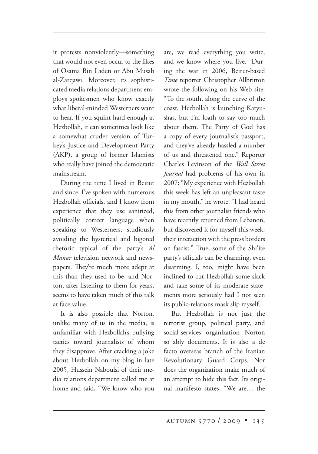it protests nonviolently—something that would not even occur to the likes of Osama Bin Laden or Abu Musab al-Zarqawi. Moreover, its sophisticated media relations department employs spokesmen who know exactly what liberal-minded Westerners want to hear. If you squint hard enough at Hezbollah, it can sometimes look like a somewhat cruder version of Turkey's Justice and Development Party (AKP), a group of former Islamists who really have joined the democratic mainstream.

During the time I lived in Beirut and since, I've spoken with numerous Hezbollah officials, and I know from experience that they use sanitized, politically correct language when speaking to Westerners, studiously avoiding the hysterical and bigoted rhetoric typical of the party's *Al Manar* television network and newspapers. They're much more adept at this than they used to be, and Norton, after listening to them for years, seems to have taken much of this talk at face value.

It is also possible that Norton, unlike many of us in the media, is unfamiliar with Hezbollah's bullying tactics toward journalists of whom they disapprove. After cracking a joke about Hezbollah on my blog in late 2005, Hussein Naboulsi of their media relations department called me at home and said, "We know who you

are, we read everything you write, and we know where you live." During the war in 2006, Beirut-based *Time* reporter Christopher Allbritton wrote the following on his Web site: "To the south, along the curve of the coast, Hezbollah is launching Katyushas, but I'm loath to say too much about them. The Party of God has a copy of every journalist's passport, and they've already hassled a number of us and threatened one." Reporter Charles Levinson of the *Wall Street Journal* had problems of his own in 2007: "My experience with Hezbollah this week has left an unpleasant taste in my mouth," he wrote. "I had heard this from other journalist friends who have recently returned from Lebanon, but discovered it for myself this week: their interaction with the press borders on fascist." True, some of the Shi'ite party's officials can be charming, even disarming. I, too, might have been inclined to cut Hezbollah some slack and take some of its moderate statements more seriously had I not seen its public-relations mask slip myself.

But Hezbollah is not just the terrorist group, political party, and social-services organization Norton so ably documents. It is also a de facto overseas branch of the Iranian Revolutionary Guard Corps. Nor does the organization make much of an attempt to hide this fact. Its original manifesto states, "We are… the